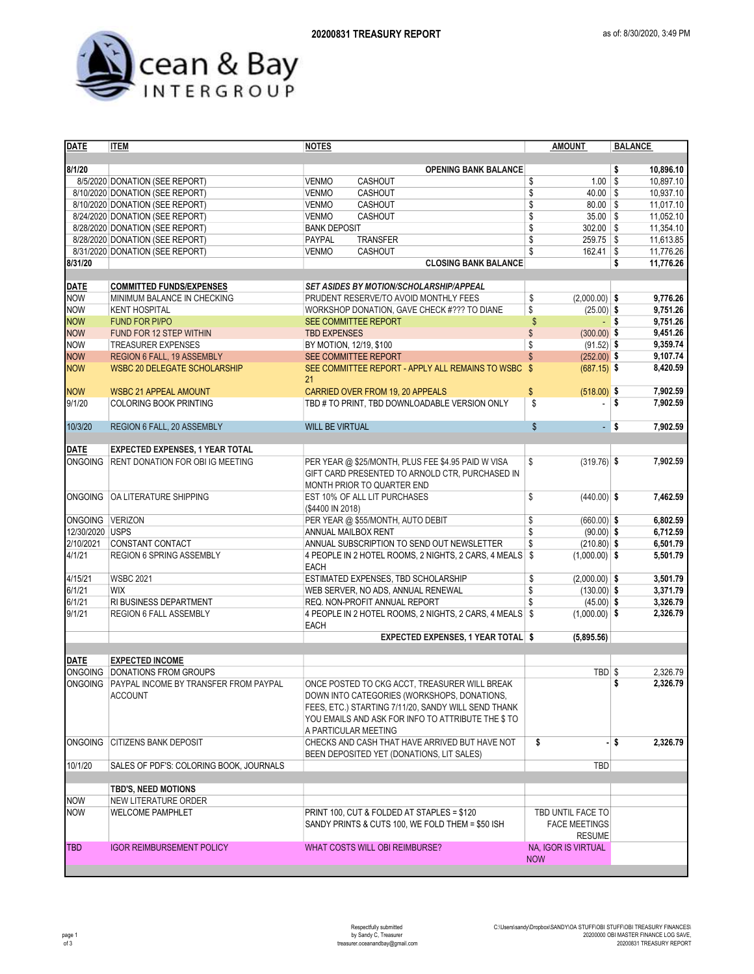

| <b>DATE</b>     | <b>ITEM</b>                                   | <b>NOTES</b>                                         | <b>AMOUNT</b>                       | <b>BALANCE</b>   |
|-----------------|-----------------------------------------------|------------------------------------------------------|-------------------------------------|------------------|
|                 |                                               |                                                      |                                     |                  |
| 8/1/20          |                                               | <b>OPENING BANK BALANCE</b>                          |                                     | \$<br>10,896.10  |
|                 | 8/5/2020 DONATION (SEE REPORT)                | CASHOUT<br><b>VENMO</b>                              | $1.00$ \$<br>\$                     | 10,897.10        |
|                 | 8/10/2020 DONATION (SEE REPORT)               | <b>VENMO</b><br>CASHOUT                              | \$<br>$40.00$ \$                    | 10,937.10        |
|                 | 8/10/2020 DONATION (SEE REPORT)               | <b>VENMO</b><br>CASHOUT                              | \$<br>$80.00$ \$                    | 11,017.10        |
|                 | 8/24/2020 DONATION (SEE REPORT)               | <b>VENMO</b><br>CASHOUT                              | \$<br>$35.00$ \$                    | 11,052.10        |
|                 | 8/28/2020 DONATION (SEE REPORT)               | <b>BANK DEPOSIT</b>                                  | \$<br>$302.00$ \$                   | 11.354.10        |
|                 | 8/28/2020 DONATION (SEE REPORT)               | PAYPAL<br><b>TRANSFER</b>                            | \$<br>$259.75$ \$                   | 11,613.85        |
|                 | 8/31/2020 DONATION (SEE REPORT)               | <b>VENMO</b><br>CASHOUT                              | \$<br>$162.41$ \$                   | 11,776.26        |
| 8/31/20         |                                               | <b>CLOSING BANK BALANCE</b>                          |                                     | \$<br>11,776.26  |
|                 |                                               |                                                      |                                     |                  |
| <b>DATE</b>     | <b>COMMITTED FUNDS/EXPENSES</b>               | <b>SET ASIDES BY MOTION/SCHOLARSHIP/APPEAL</b>       |                                     |                  |
| <b>NOW</b>      | MINIMUM BALANCE IN CHECKING                   | PRUDENT RESERVE/TO AVOID MONTHLY FEES                | \$<br>$(2,000.00)$ \$               | 9,776.26         |
| <b>NOW</b>      | <b>KENT HOSPITAL</b>                          | WORKSHOP DONATION, GAVE CHECK #??? TO DIANE          | \$<br>$(25.00)$ \$                  | 9,751.26         |
| <b>NOW</b>      | <b>FUND FOR PI/PO</b>                         | <b>SEE COMMITTEE REPORT</b>                          | \$<br>$-$ s                         | 9,751.26         |
| <b>NOW</b>      | FUND FOR 12 STEP WITHIN                       | <b>TBD EXPENSES</b>                                  | \$<br>$(300.00)$ \$                 | 9,451.26         |
| <b>NOW</b>      | <b>TREASURER EXPENSES</b>                     | BY MOTION, 12/19, \$100                              | \$<br>$(91.52)$ \$                  | 9,359.74         |
| <b>NOW</b>      | REGION 6 FALL, 19 ASSEMBLY                    | <b>SEE COMMITTEE REPORT</b>                          | $(252.00)$ \$                       | 9,107.74         |
| <b>NOW</b>      | <b>WSBC 20 DELEGATE SCHOLARSHIP</b>           | SEE COMMITTEE REPORT - APPLY ALL REMAINS TO WSBC \$  | $(687.15)$ \$                       | 8,420.59         |
|                 |                                               | 21                                                   |                                     |                  |
| <b>NOW</b>      | <b>WSBC 21 APPEAL AMOUNT</b>                  | CARRIED OVER FROM 19, 20 APPEALS                     | \$<br>$(518.00)$ \$                 | 7,902.59         |
| 9/1/20          | <b>COLORING BOOK PRINTING</b>                 | TBD # TO PRINT, TBD DOWNLOADABLE VERSION ONLY        | \$                                  | \$<br>7,902.59   |
|                 |                                               |                                                      |                                     |                  |
| 10/3/20         | REGION 6 FALL, 20 ASSEMBLY                    | <b>WILL BE VIRTUAL</b>                               | $\boldsymbol{\mathsf{S}}$<br>$-$ \$ | 7,902.59         |
|                 |                                               |                                                      |                                     |                  |
| <b>DATE</b>     | <b>EXPECTED EXPENSES, 1 YEAR TOTAL</b>        |                                                      |                                     |                  |
| ONGOING         | <b>RENT DONATION FOR OBI IG MEETING</b>       | PER YEAR @ \$25/MONTH, PLUS FEE \$4.95 PAID W VISA   | $(319.76)$ \$<br>\$                 | 7,902.59         |
|                 |                                               |                                                      |                                     |                  |
|                 |                                               | GIFT CARD PRESENTED TO ARNOLD CTR, PURCHASED IN      |                                     |                  |
|                 |                                               | MONTH PRIOR TO QUARTER END                           |                                     |                  |
| <b>ONGOING</b>  | OA LITERATURE SHIPPING                        | EST 10% OF ALL LIT PURCHASES                         | \$<br>$(440.00)$ \$                 | 7,462.59         |
|                 |                                               | (\$4400 IN 2018)                                     |                                     |                  |
| ONGOING VERIZON |                                               | PER YEAR @ \$55/MONTH, AUTO DEBIT                    | \$<br>$(660.00)$ \$                 | 6,802.59         |
| 12/30/2020 USPS |                                               | ANNUAL MAILBOX RENT                                  | \$<br>$(90.00)$ \$                  | 6,712.59         |
| 2/10/2021       | CONSTANT CONTACT                              | ANNUAL SUBSCRIPTION TO SEND OUT NEWSLETTER           | \$<br>$(210.80)$ \$                 | 6,501.79         |
| 4/1/21          | <b>REGION 6 SPRING ASSEMBLY</b>               | 4 PEOPLE IN 2 HOTEL ROOMS, 2 NIGHTS, 2 CARS, 4 MEALS | \$<br>$(1,000.00)$ \$               | 5,501.79         |
|                 |                                               | <b>EACH</b>                                          |                                     |                  |
| 4/15/21         | <b>WSBC 2021</b>                              | ESTIMATED EXPENSES, TBD SCHOLARSHIP                  | \$<br>$(2,000.00)$ \$               | 3,501.79         |
| 6/1/21          | <b>WIX</b>                                    | WEB SERVER, NO ADS, ANNUAL RENEWAL                   | \$<br>$(130.00)$ \$                 | 3,371.79         |
| 6/1/21          | RI BUSINESS DEPARTMENT                        | REQ. NON-PROFIT ANNUAL REPORT                        | \$<br>$(45.00)$ \$                  | 3,326.79         |
| 9/1/21          | REGION 6 FALL ASSEMBLY                        | 4 PEOPLE IN 2 HOTEL ROOMS, 2 NIGHTS, 2 CARS, 4 MEALS | $(1,000.00)$ \$<br>\$               | 2,326.79         |
|                 |                                               | <b>EACH</b>                                          |                                     |                  |
|                 |                                               | EXPECTED EXPENSES, 1 YEAR TOTAL \$                   | (5,895.56)                          |                  |
|                 |                                               |                                                      |                                     |                  |
| <b>DATE</b>     | <b>EXPECTED INCOME</b>                        |                                                      |                                     |                  |
| <b>ONGOING</b>  | <b>DONATIONS FROM GROUPS</b>                  |                                                      | TBD \$                              | 2.326.79         |
|                 | ONGOING PAYPAL INCOME BY TRANSFER FROM PAYPAL | ONCE POSTED TO CKG ACCT, TREASURER WILL BREAK        |                                     | \$<br>2,326.79   |
|                 | <b>ACCOUNT</b>                                | DOWN INTO CATEGORIES (WORKSHOPS, DONATIONS,          |                                     |                  |
|                 |                                               | FEES, ETC.) STARTING 7/11/20, SANDY WILL SEND THANK  |                                     |                  |
|                 |                                               | YOU EMAILS AND ASK FOR INFO TO ATTRIBUTE THE \$ TO   |                                     |                  |
|                 |                                               | A PARTICULAR MEETING                                 |                                     |                  |
| <b>ONGOING</b>  | <b>CITIZENS BANK DEPOSIT</b>                  | CHECKS AND CASH THAT HAVE ARRIVED BUT HAVE NOT       | \$                                  | - \$<br>2,326.79 |
|                 |                                               | BEEN DEPOSITED YET (DONATIONS, LIT SALES)            |                                     |                  |
| 10/1/20         | SALES OF PDF'S: COLORING BOOK, JOURNALS       |                                                      | <b>TBD</b>                          |                  |
|                 |                                               |                                                      |                                     |                  |
|                 | <b>TBD'S, NEED MOTIONS</b>                    |                                                      |                                     |                  |
| <b>NOW</b>      | NEW LITERATURE ORDER                          |                                                      |                                     |                  |
| <b>NOW</b>      | <b>WELCOME PAMPHLET</b>                       | TBD UNTIL FACE TO                                    |                                     |                  |
|                 |                                               | SANDY PRINTS & CUTS 100, WE FOLD THEM = \$50 ISH     | <b>FACE MEETINGS</b>                |                  |
|                 |                                               |                                                      | <b>RESUME</b>                       |                  |
| <b>TBD</b>      | <b>IGOR REIMBURSEMENT POLICY</b>              | WHAT COSTS WILL OBI REIMBURSE?                       | NA, IGOR IS VIRTUAL                 |                  |
|                 |                                               |                                                      | <b>NOW</b>                          |                  |
|                 |                                               |                                                      |                                     |                  |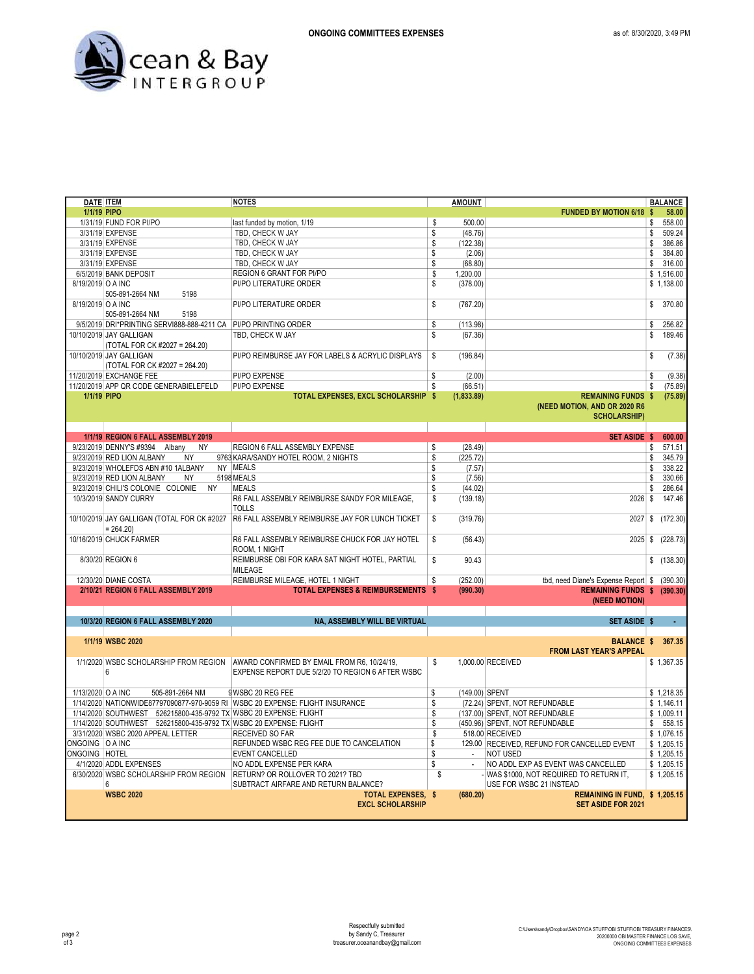

| DATE <b>ITEM</b>  |                                                                   | <b>NOTES</b>                                                                  |    | <b>AMOUNT</b>  |                                              |     | <b>BALANCE</b> |
|-------------------|-------------------------------------------------------------------|-------------------------------------------------------------------------------|----|----------------|----------------------------------------------|-----|----------------|
| 1/1/19 PIPO       |                                                                   |                                                                               |    |                | <b>FUNDED BY MOTION 6/18 \$</b>              |     | 58.00          |
|                   | 1/31/19 FUND FOR PI/PO                                            | last funded by motion, 1/19                                                   | \$ | 500.00         |                                              | \$  | 558.00         |
|                   | 3/31/19 EXPENSE                                                   | TBD, CHECK W JAY                                                              | \$ | (48.76)        |                                              | \$  | 509.24         |
|                   | 3/31/19 EXPENSE                                                   | TBD, CHECK W JAY                                                              | \$ | (122.38)       |                                              | \$  | 386.86         |
|                   | 3/31/19 EXPENSE                                                   | TBD, CHECK W JAY                                                              | \$ | (2.06)         |                                              | \$  | 384.80         |
|                   | 3/31/19 EXPENSE                                                   | TBD, CHECK W JAY                                                              | \$ | (68.80)        |                                              | \$  | 316.00         |
|                   | 6/5/2019 BANK DEPOSIT                                             | REGION 6 GRANT FOR PI/PO                                                      | \$ | 1,200.00       |                                              |     | \$1,516.00     |
| 8/19/2019 O A INC |                                                                   | PI/PO LITERATURE ORDER                                                        | \$ | (378.00)       |                                              |     | \$1,138.00     |
|                   | 505-891-2664 NM<br>5198                                           |                                                                               |    |                |                                              |     |                |
| 8/19/2019 O A INC |                                                                   | PI/PO LITERATURE ORDER                                                        | \$ | (767.20)       |                                              | \$  | 370.80         |
|                   | 5198<br>505-891-2664 NM                                           |                                                                               |    |                |                                              |     |                |
|                   |                                                                   |                                                                               |    |                |                                              |     |                |
|                   | 9/5/2019 DRI*PRINTING SERVI888-888-4211 CA PI/PO PRINTING ORDER   |                                                                               | \$ | (113.98)       |                                              | \$  | 256.82         |
|                   | 10/10/2019 JAY GALLIGAN                                           | TBD, CHECK W JAY                                                              | \$ | (67.36)        |                                              | \$  | 189.46         |
|                   | (TOTAL FOR CK #2027 = 264.20)                                     |                                                                               |    |                |                                              |     |                |
|                   | 10/10/2019 JAY GALLIGAN                                           | PI/PO REIMBURSE JAY FOR LABELS & ACRYLIC DISPLAYS                             | \$ | (196.84)       |                                              | \$  | (7.38)         |
|                   | (TOTAL FOR CK #2027 = 264.20)                                     |                                                                               |    |                |                                              |     |                |
|                   | 11/20/2019 EXCHANGE FEE                                           | PI/PO EXPENSE                                                                 | \$ | (2.00)         |                                              | \$  | (9.38)         |
|                   | 11/20/2019 APP QR CODE GENERABIELEFELD                            | <b>PI/PO EXPENSE</b>                                                          | \$ | (66.51)        |                                              | \$  | (75.89)        |
| 1/1/19 PIPO       |                                                                   | TOTAL EXPENSES, EXCL SCHOLARSHIP \$                                           |    | (1,833.89)     | <b>REMAINING FUNDS</b>                       | -\$ | (75.89)        |
|                   |                                                                   |                                                                               |    |                | (NEED MOTION, AND OR 2020 R6                 |     |                |
|                   |                                                                   |                                                                               |    |                | <b>SCHOLARSHIP)</b>                          |     |                |
|                   |                                                                   |                                                                               |    |                |                                              |     |                |
|                   | 1/1/19 REGION 6 FALL ASSEMBLY 2019                                |                                                                               |    |                | <b>SET ASIDE \$</b>                          |     | 600.00         |
|                   | 9/23/2019 DENNY'S #9394 Albany<br><b>NY</b>                       | <b>REGION 6 FALL ASSEMBLY EXPENSE</b>                                         | \$ | (28.49)        |                                              | \$  | 571.51         |
|                   | <b>NY</b><br>9/23/2019 RED LION ALBANY                            | 9763 KARA/SANDY HOTEL ROOM, 2 NIGHTS                                          | \$ | (225.72)       |                                              | \$  | 345.79         |
|                   |                                                                   |                                                                               |    |                |                                              |     |                |
|                   | 9/23/2019 WHOLEFDS ABN #10 1ALBANY                                | NY MEALS                                                                      | \$ | (7.57)         |                                              | \$  | 338.22         |
|                   | 9/23/2019 RED LION ALBANY<br><b>NY</b>                            | 5198 MEALS                                                                    | \$ | (7.56)         |                                              | \$  | 330.66         |
|                   | 9/23/2019 CHILI'S COLONIE COLONIE<br><b>NY</b>                    | <b>MEALS</b>                                                                  | \$ | (44.02)        |                                              | \$  | 286.64         |
|                   | 10/3/2019 SANDY CURRY                                             | R6 FALL ASSEMBLY REIMBURSE SANDY FOR MILEAGE,                                 | \$ | (139.18)       | 2026                                         | -S  | 147.46         |
|                   |                                                                   | <b>TOLLS</b>                                                                  |    |                |                                              |     |                |
|                   | 10/10/2019 JAY GALLIGAN (TOTAL FOR CK #2027                       | R6 FALL ASSEMBLY REIMBURSE JAY FOR LUNCH TICKET                               | \$ | (319.76)       | 2027                                         | \$  | (172.30)       |
|                   | $= 264.20$                                                        |                                                                               |    |                |                                              |     |                |
|                   | 10/16/2019 CHUCK FARMER                                           | R6 FALL ASSEMBLY REIMBURSE CHUCK FOR JAY HOTEL                                | \$ | (56.43)        | 2025                                         | \$  | (228.73)       |
|                   |                                                                   | ROOM. 1 NIGHT                                                                 |    |                |                                              |     |                |
|                   | 8/30/20 REGION 6                                                  | REIMBURSE OBI FOR KARA SAT NIGHT HOTEL, PARTIAL                               | \$ | 90.43          |                                              |     | \$(138.30)     |
|                   |                                                                   | <b>MILEAGE</b>                                                                |    |                |                                              |     |                |
|                   | 12/30/20 DIANE COSTA                                              | REIMBURSE MILEAGE, HOTEL 1 NIGHT                                              | \$ | (252.00)       | tbd, need Diane's Expense Report \$ (390.30) |     |                |
|                   | 2/10/21 REGION 6 FALL ASSEMBLY 2019                               | <b>TOTAL EXPENSES &amp; REIMBURSEMENTS \$</b>                                 |    |                |                                              |     |                |
|                   |                                                                   |                                                                               |    | (990.30)       | REMAINING FUNDS \$ (390.30)<br>(NEED MOTION) |     |                |
|                   |                                                                   |                                                                               |    |                |                                              |     |                |
|                   |                                                                   |                                                                               |    |                |                                              |     |                |
|                   | 10/3/20 REGION 6 FALL ASSEMBLY 2020                               | <b>NA. ASSEMBLY WILL BE VIRTUAL</b>                                           |    |                | <b>SET ASIDE \$</b>                          |     |                |
|                   |                                                                   |                                                                               |    |                |                                              |     |                |
|                   | 1/1/19 WSBC 2020                                                  |                                                                               |    |                | <b>BALANCE \$</b>                            |     | 367.35         |
|                   |                                                                   |                                                                               |    |                | <b>FROM LAST YEAR'S APPEAL</b>               |     |                |
|                   | 1/1/2020 WSBC SCHOLARSHIP FROM REGION                             | AWARD CONFIRMED BY EMAIL FROM R6, 10/24/19,                                   | \$ |                | 1,000.00 RECEIVED                            |     | \$1,367.35     |
|                   | $6\phantom{1}$                                                    | EXPENSE REPORT DUE 5/2/20 TO REGION 6 AFTER WSBC                              |    |                |                                              |     |                |
|                   |                                                                   |                                                                               |    |                |                                              |     |                |
| 1/13/2020 O A INC | 505-891-2664 NM                                                   | 9 WSBC 20 REG FEE                                                             | \$ | (149.00) SPENT |                                              |     | \$1,218.35     |
|                   |                                                                   | 1/14/2020 NATIONWIDE87797090877-970-9059 RI WSBC 20 EXPENSE: FLIGHT INSURANCE | \$ |                | (72.24) SPENT, NOT REFUNDABLE                |     | \$1,146.11     |
|                   | 1/14/2020 SOUTHWEST 526215800-435-9792 TX WSBC 20 EXPENSE: FLIGHT |                                                                               | S  |                | (137.00) SPENT, NOT REFUNDABLE               |     | \$1.009.11     |
|                   | 1/14/2020 SOUTHWEST 526215800-435-9792 TX WSBC 20 EXPENSE: FLIGHT |                                                                               | \$ |                | (450.96) SPENT, NOT REFUNDABLE               | \$  | 558.15         |
|                   | 3/31/2020 WSBC 2020 APPEAL LETTER                                 | RECEIVED SO FAR                                                               | \$ |                | 518.00 RECEIVED                              |     | \$1,076.15     |
| ONGOING O A INC   |                                                                   |                                                                               | \$ |                |                                              |     |                |
|                   |                                                                   | REFUNDED WSBC REG FEE DUE TO CANCELATION                                      |    | $\mathbf{r}$   | 129.00 RECEIVED, REFUND FOR CANCELLED EVENT  |     | \$1,205.15     |
| ONGOING HOTEL     |                                                                   | <b>EVENT CANCELLED</b>                                                        | \$ |                | <b>NOT USED</b>                              |     | \$1,205.15     |
|                   | 4/1/2020 ADDL EXPENSES                                            | NO ADDL EXPENSE PER KARA                                                      | \$ | $\sim$         | NO ADDL EXP AS EVENT WAS CANCELLED           |     | \$1,205.15     |
|                   | 6/30/2020 WSBC SCHOLARSHIP FROM REGION                            | RETURN? OR ROLLOVER TO 2021? TBD                                              | S  |                | - WAS \$1000, NOT REQUIRED TO RETURN IT,     |     | \$1,205.15     |
|                   | 6                                                                 | SUBTRACT AIRFARE AND RETURN BALANCE?                                          |    |                | USE FOR WSBC 21 INSTEAD                      |     |                |
|                   | <b>WSBC 2020</b>                                                  | <b>TOTAL EXPENSES. \$</b>                                                     |    | (680.20)       | REMAINING IN FUND, \$1,205.15                |     |                |
|                   |                                                                   | <b>EXCL SCHOLARSHIP</b>                                                       |    |                | <b>SET ASIDE FOR 2021</b>                    |     |                |
|                   |                                                                   |                                                                               |    |                |                                              |     |                |